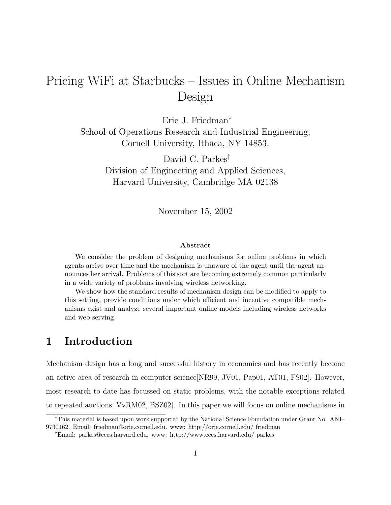# Pricing WiFi at Starbucks – Issues in Online Mechanism Design

Eric J. Friedman<sup>∗</sup> School of Operations Research and Industrial Engineering, Cornell University, Ithaca, NY 14853.

> David C. Parkes† Division of Engineering and Applied Sciences, Harvard University, Cambridge MA 02138

> > November 15, 2002

#### Abstract

We consider the problem of designing mechanisms for online problems in which agents arrive over time and the mechanism is unaware of the agent until the agent announces her arrival. Problems of this sort are becoming extremely common particularly in a wide variety of problems involving wireless networking.

We show how the standard results of mechanism design can be modified to apply to this setting, provide conditions under which efficient and incentive compatible mechanisms exist and analyze several important online models including wireless networks and web serving.

## 1 Introduction

Mechanism design has a long and successful history in economics and has recently become an active area of research in computer science[NR99, JV01, Pap01, AT01, FS02]. However, most research to date has focussed on static problems, with the notable exceptions related to repeated auctions [VvRM02, BSZ02]. In this paper we will focus on online mechanisms in

<sup>∗</sup>This material is based upon work supported by the National Science Foundation under Grant No. ANI– 9730162. Email: friedman@orie.cornell.edu. www: http://orie.cornell.edu/ friedman

<sup>†</sup>Email: parkes@eecs.harvard.edu. www: http://www.eecs.harvard.edu/ parkes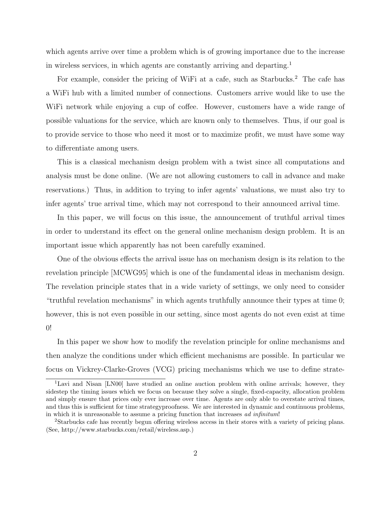which agents arrive over time a problem which is of growing importance due to the increase in wireless services, in which agents are constantly arriving and departing.<sup>1</sup>

For example, consider the pricing of WiFi at a cafe, such as Starbucks.<sup>2</sup> The cafe has a WiFi hub with a limited number of connections. Customers arrive would like to use the WiFi network while enjoying a cup of coffee. However, customers have a wide range of possible valuations for the service, which are known only to themselves. Thus, if our goal is to provide service to those who need it most or to maximize profit, we must have some way to differentiate among users.

This is a classical mechanism design problem with a twist since all computations and analysis must be done online. (We are not allowing customers to call in advance and make reservations.) Thus, in addition to trying to infer agents' valuations, we must also try to infer agents' true arrival time, which may not correspond to their announced arrival time.

In this paper, we will focus on this issue, the announcement of truthful arrival times in order to understand its effect on the general online mechanism design problem. It is an important issue which apparently has not been carefully examined.

One of the obvious effects the arrival issue has on mechanism design is its relation to the revelation principle [MCWG95] which is one of the fundamental ideas in mechanism design. The revelation principle states that in a wide variety of settings, we only need to consider "truthful revelation mechanisms" in which agents truthfully announce their types at time 0; however, this is not even possible in our setting, since most agents do not even exist at time 0!

In this paper we show how to modify the revelation principle for online mechanisms and then analyze the conditions under which efficient mechanisms are possible. In particular we focus on Vickrey-Clarke-Groves (VCG) pricing mechanisms which we use to define strate-

<sup>1</sup>Lavi and Nisan [LN00] have studied an online auction problem with online arrivals; however, they sidestep the timing issues which we focus on because they solve a single, fixed-capacity, allocation problem and simply ensure that prices only ever increase over time. Agents are only able to overstate arrival times, and thus this is sufficient for time strategyproofness. We are interested in dynamic and continuous problems, in which it is unreasonable to assume a pricing function that increases ad infinitum!

<sup>2</sup>Starbucks cafe has recently begun offering wireless access in their stores with a variety of pricing plans. (See, http://www.starbucks.com/retail/wireless.asp.)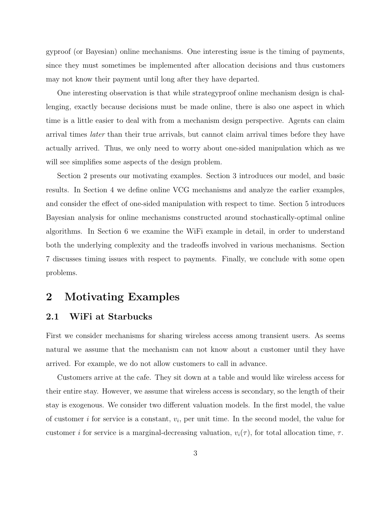gyproof (or Bayesian) online mechanisms. One interesting issue is the timing of payments, since they must sometimes be implemented after allocation decisions and thus customers may not know their payment until long after they have departed.

One interesting observation is that while strategyproof online mechanism design is challenging, exactly because decisions must be made online, there is also one aspect in which time is a little easier to deal with from a mechanism design perspective. Agents can claim arrival times later than their true arrivals, but cannot claim arrival times before they have actually arrived. Thus, we only need to worry about one-sided manipulation which as we will see simplifies some aspects of the design problem.

Section 2 presents our motivating examples. Section 3 introduces our model, and basic results. In Section 4 we define online VCG mechanisms and analyze the earlier examples, and consider the effect of one-sided manipulation with respect to time. Section 5 introduces Bayesian analysis for online mechanisms constructed around stochastically-optimal online algorithms. In Section 6 we examine the WiFi example in detail, in order to understand both the underlying complexity and the tradeoffs involved in various mechanisms. Section 7 discusses timing issues with respect to payments. Finally, we conclude with some open problems.

## 2 Motivating Examples

### 2.1 WiFi at Starbucks

First we consider mechanisms for sharing wireless access among transient users. As seems natural we assume that the mechanism can not know about a customer until they have arrived. For example, we do not allow customers to call in advance.

Customers arrive at the cafe. They sit down at a table and would like wireless access for their entire stay. However, we assume that wireless access is secondary, so the length of their stay is exogenous. We consider two different valuation models. In the first model, the value of customer  $i$  for service is a constant,  $v_i$ , per unit time. In the second model, the value for customer i for service is a marginal-decreasing valuation,  $v_i(\tau)$ , for total allocation time,  $\tau$ .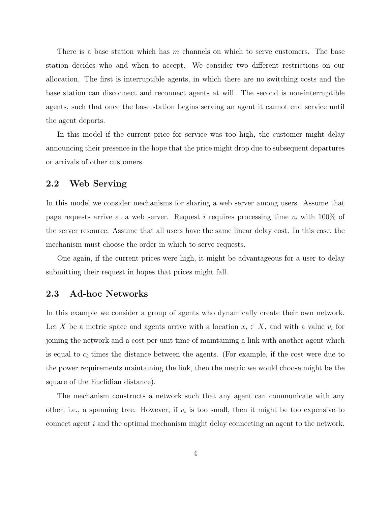There is a base station which has  $m$  channels on which to serve customers. The base station decides who and when to accept. We consider two different restrictions on our allocation. The first is interruptible agents, in which there are no switching costs and the base station can disconnect and reconnect agents at will. The second is non-interruptible agents, such that once the base station begins serving an agent it cannot end service until the agent departs.

In this model if the current price for service was too high, the customer might delay announcing their presence in the hope that the price might drop due to subsequent departures or arrivals of other customers.

### 2.2 Web Serving

In this model we consider mechanisms for sharing a web server among users. Assume that page requests arrive at a web server. Request i requires processing time  $v_i$  with 100% of the server resource. Assume that all users have the same linear delay cost. In this case, the mechanism must choose the order in which to serve requests.

One again, if the current prices were high, it might be advantageous for a user to delay submitting their request in hopes that prices might fall.

#### 2.3 Ad-hoc Networks

In this example we consider a group of agents who dynamically create their own network. Let X be a metric space and agents arrive with a location  $x_i \in X$ , and with a value  $v_i$  for joining the network and a cost per unit time of maintaining a link with another agent which is equal to  $c_i$  times the distance between the agents. (For example, if the cost were due to the power requirements maintaining the link, then the metric we would choose might be the square of the Euclidian distance).

The mechanism constructs a network such that any agent can communicate with any other, i.e., a spanning tree. However, if  $v_i$  is too small, then it might be too expensive to connect agent i and the optimal mechanism might delay connecting an agent to the network.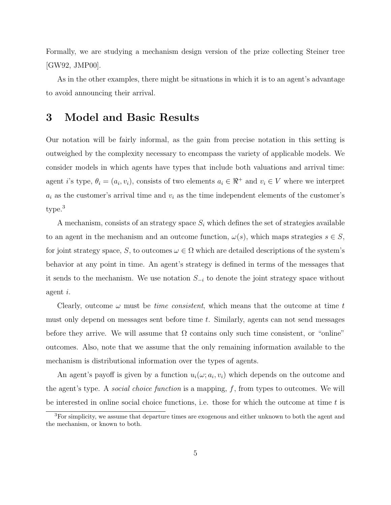Formally, we are studying a mechanism design version of the prize collecting Steiner tree [GW92, JMP00].

As in the other examples, there might be situations in which it is to an agent's advantage to avoid announcing their arrival.

## 3 Model and Basic Results

Our notation will be fairly informal, as the gain from precise notation in this setting is outweighed by the complexity necessary to encompass the variety of applicable models. We consider models in which agents have types that include both valuations and arrival time: agent i's type,  $\theta_i = (a_i, v_i)$ , consists of two elements  $a_i \in \mathbb{R}^+$  and  $v_i \in V$  where we interpret  $a_i$  as the customer's arrival time and  $v_i$  as the time independent elements of the customer's type.<sup>3</sup>

A mechanism, consists of an strategy space  $S_i$  which defines the set of strategies available to an agent in the mechanism and an outcome function,  $\omega(s)$ , which maps strategies  $s \in S$ , for joint strategy space, S, to outcomes  $\omega \in \Omega$  which are detailed descriptions of the system's behavior at any point in time. An agent's strategy is defined in terms of the messages that it sends to the mechanism. We use notation  $S_{-i}$  to denote the joint strategy space without agent i.

Clearly, outcome  $\omega$  must be *time consistent*, which means that the outcome at time t must only depend on messages sent before time t. Similarly, agents can not send messages before they arrive. We will assume that  $\Omega$  contains only such time consistent, or "online" outcomes. Also, note that we assume that the only remaining information available to the mechanism is distributional information over the types of agents.

An agent's payoff is given by a function  $u_i(\omega; a_i, v_i)$  which depends on the outcome and the agent's type. A *social choice function* is a mapping,  $f$ , from types to outcomes. We will be interested in online social choice functions, i.e. those for which the outcome at time  $t$  is

<sup>3</sup>For simplicity, we assume that departure times are exogenous and either unknown to both the agent and the mechanism, or known to both.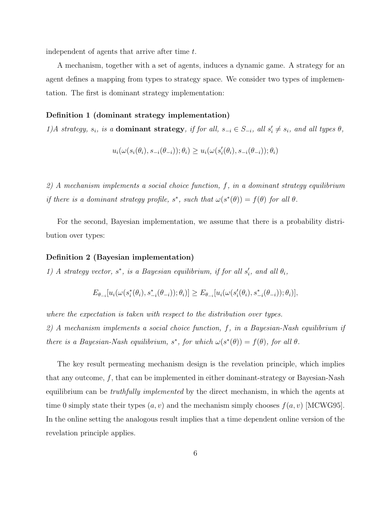independent of agents that arrive after time t.

A mechanism, together with a set of agents, induces a dynamic game. A strategy for an agent defines a mapping from types to strategy space. We consider two types of implementation. The first is dominant strategy implementation:

#### Definition 1 (dominant strategy implementation)

1)A strategy,  $s_i$ , is a **dominant strategy**, if for all,  $s_{-i} \in S_{-i}$ , all  $s'_i \neq s_i$ , and all types  $\theta$ ,

$$
u_i(\omega(s_i(\theta_i), s_{-i}(\theta_{-i})); \theta_i) \ge u_i(\omega(s'_i(\theta_i), s_{-i}(\theta_{-i})); \theta_i)
$$

2) A mechanism implements a social choice function, f, in a dominant strategy equilibrium if there is a dominant strategy profile,  $s^*$ , such that  $\omega(s^*(\theta)) = f(\theta)$  for all  $\theta$ .

For the second, Bayesian implementation, we assume that there is a probability distribution over types:

#### Definition 2 (Bayesian implementation)

1) A strategy vector,  $s^*$ , is a Bayesian equilibrium, if for all  $s'_i$ , and all  $\theta_i$ ,

$$
E_{\theta_{-i}}[u_i(\omega(s_i^*(\theta_i), s_{-i}^*(\theta_{-i})); \theta_i)] \ge E_{\theta_{-i}}[u_i(\omega(s_i'(\theta_i), s_{-i}^*(\theta_{-i})); \theta_i)],
$$

where the expectation is taken with respect to the distribution over types.

2) A mechanism implements a social choice function, f, in a Bayesian-Nash equilibrium if there is a Bayesian-Nash equilibrium,  $s^*$ , for which  $\omega(s^*(\theta)) = f(\theta)$ , for all  $\theta$ .

The key result permeating mechanism design is the revelation principle, which implies that any outcome,  $f$ , that can be implemented in either dominant-strategy or Bayesian-Nash equilibrium can be *truthfully implemented* by the direct mechanism, in which the agents at time 0 simply state their types  $(a, v)$  and the mechanism simply chooses  $f(a, v)$  [MCWG95]. In the online setting the analogous result implies that a time dependent online version of the revelation principle applies.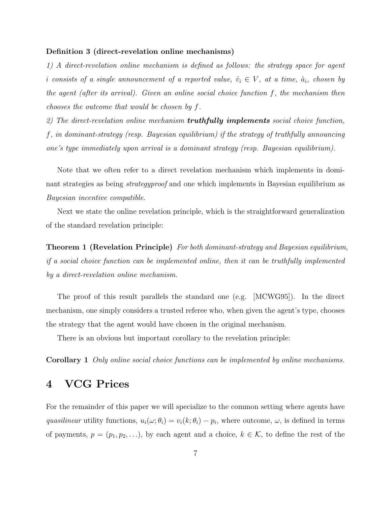#### Definition 3 (direct-revelation online mechanisms)

1) A direct-revelation online mechanism is defined as follows: the strategy space for agent i consists of a single announcement of a reported value,  $\hat{v}_i \in V$ , at a time,  $\hat{a}_i$ , chosen by the agent (after its arrival). Given an online social choice function f, the mechanism then chooses the outcome that would be chosen by f.

2) The direct-revelation online mechanism **truthfully implements** social choice function, f, in dominant-strategy (resp. Bayesian equilibrium) if the strategy of truthfully announcing one's type immediately upon arrival is a dominant strategy (resp. Bayesian equilibrium).

Note that we often refer to a direct revelation mechanism which implements in dominant strategies as being strategyproof and one which implements in Bayesian equilibrium as Bayesian incentive compatible.

Next we state the online revelation principle, which is the straightforward generalization of the standard revelation principle:

**Theorem 1 (Revelation Principle)** For both dominant-strategy and Bayesian equilibrium, if a social choice function can be implemented online, then it can be truthfully implemented by a direct-revelation online mechanism.

The proof of this result parallels the standard one (e.g. [MCWG95]). In the direct mechanism, one simply considers a trusted referee who, when given the agent's type, chooses the strategy that the agent would have chosen in the original mechanism.

There is an obvious but important corollary to the revelation principle:

Corollary 1 Only online social choice functions can be implemented by online mechanisms.

## 4 VCG Prices

For the remainder of this paper we will specialize to the common setting where agents have quasilinear utility functions,  $u_i(\omega; \theta_i) = v_i(k; \theta_i) - p_i$ , where outcome,  $\omega$ , is defined in terms of payments,  $p = (p_1, p_2, \ldots)$ , by each agent and a choice,  $k \in \mathcal{K}$ , to define the rest of the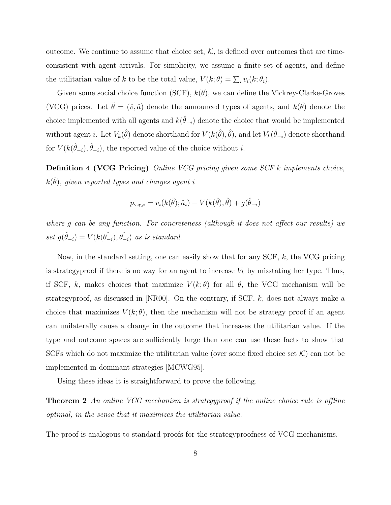outcome. We continue to assume that choice set,  $K$ , is defined over outcomes that are timeconsistent with agent arrivals. For simplicity, we assume a finite set of agents, and define the utilitarian value of k to be the total value,  $V(k; \theta) = \sum_i v_i(k; \theta_i)$ .

Given some social choice function (SCF),  $k(\theta)$ , we can define the Vickrey-Clarke-Groves (VCG) prices. Let  $\hat{\theta} = (\hat{v}, \hat{a})$  denote the announced types of agents, and  $k(\hat{\theta})$  denote the choice implemented with all agents and  $k(\hat{\theta}_{-i})$  denote the choice that would be implemented without agent *i*. Let  $V_k(\hat{\theta})$  denote shorthand for  $V(k(\hat{\theta}), \hat{\theta})$ , and let  $V_k(\hat{\theta}_{-i})$  denote shorthand for  $V(k(\hat{\theta}_{-i}), \hat{\theta}_{-i})$ , the reported value of the choice without *i*.

Definition 4 (VCG Pricing) Online VCG pricing given some SCF k implements choice,  $k(\hat{\theta}),$  given reported types and charges agent i

$$
p_{\text{vcg},i} = v_i(k(\hat{\theta}); \hat{a}_i) - V(k(\hat{\theta}), \hat{\theta}) + g(\hat{\theta}_{-i})
$$

where g can be any function. For concreteness (although it does not affect our results) we set  $g(\hat{\theta}_{-i}) = V(k(\hat{\theta}_{-i}), \hat{\theta}_{-i})$  as is standard.

Now, in the standard setting, one can easily show that for any SCF, k, the VCG pricing is strategyproof if there is no way for an agent to increase  $V_k$  by misstating her type. Thus, if SCF, k, makes choices that maximize  $V(k; \theta)$  for all  $\theta$ , the VCG mechanism will be strategyproof, as discussed in  $[NR00]$ . On the contrary, if SCF, k, does not always make a choice that maximizes  $V(k; \theta)$ , then the mechanism will not be strategy proof if an agent can unilaterally cause a change in the outcome that increases the utilitarian value. If the type and outcome spaces are sufficiently large then one can use these facts to show that SCFs which do not maximize the utilitarian value (over some fixed choice set  $\mathcal{K}$ ) can not be implemented in dominant strategies [MCWG95].

Using these ideas it is straightforward to prove the following.

**Theorem 2** An online VCG mechanism is strategyproof if the online choice rule is offline optimal, in the sense that it maximizes the utilitarian value.

The proof is analogous to standard proofs for the strategyproofness of VCG mechanisms.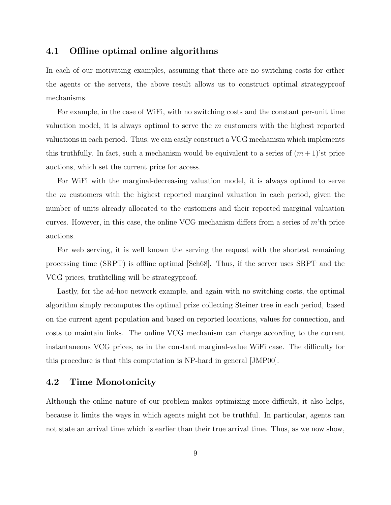#### 4.1 Offline optimal online algorithms

In each of our motivating examples, assuming that there are no switching costs for either the agents or the servers, the above result allows us to construct optimal strategyproof mechanisms.

For example, in the case of WiFi, with no switching costs and the constant per-unit time valuation model, it is always optimal to serve the  $m$  customers with the highest reported valuations in each period. Thus, we can easily construct a VCG mechanism which implements this truthfully. In fact, such a mechanism would be equivalent to a series of  $(m+1)$ 'st price auctions, which set the current price for access.

For WiFi with the marginal-decreasing valuation model, it is always optimal to serve the m customers with the highest reported marginal valuation in each period, given the number of units already allocated to the customers and their reported marginal valuation curves. However, in this case, the online VCG mechanism differs from a series of  $m<sup>2</sup>$  th price auctions.

For web serving, it is well known the serving the request with the shortest remaining processing time (SRPT) is offline optimal [Sch68]. Thus, if the server uses SRPT and the VCG prices, truthtelling will be strategyproof.

Lastly, for the ad-hoc network example, and again with no switching costs, the optimal algorithm simply recomputes the optimal prize collecting Steiner tree in each period, based on the current agent population and based on reported locations, values for connection, and costs to maintain links. The online VCG mechanism can charge according to the current instantaneous VCG prices, as in the constant marginal-value WiFi case. The difficulty for this procedure is that this computation is NP-hard in general [JMP00].

### 4.2 Time Monotonicity

Although the online nature of our problem makes optimizing more difficult, it also helps, because it limits the ways in which agents might not be truthful. In particular, agents can not state an arrival time which is earlier than their true arrival time. Thus, as we now show,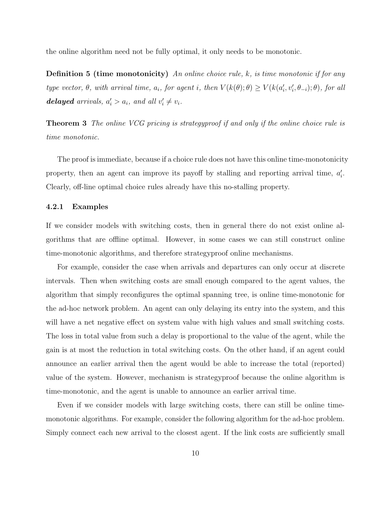the online algorithm need not be fully optimal, it only needs to be monotonic.

**Definition 5 (time monotonicity)** An online choice rule,  $k$ , is time monotonic if for any type vector,  $\theta$ , with arrival time,  $a_i$ , for agent i, then  $V(k(\theta);\theta) \ge V(k(a'_i, v'_i, \theta_{-i}); \theta)$ , for all **delayed** arrivals,  $a'_i > a_i$ , and all  $v'_i \neq v_i$ .

**Theorem 3** The online VCG pricing is strategyproof if and only if the online choice rule is time monotonic.

The proof is immediate, because if a choice rule does not have this online time-monotonicity property, then an agent can improve its payoff by stalling and reporting arrival time,  $a_i'$ . Clearly, off-line optimal choice rules already have this no-stalling property.

#### 4.2.1 Examples

If we consider models with switching costs, then in general there do not exist online algorithms that are offline optimal. However, in some cases we can still construct online time-monotonic algorithms, and therefore strategyproof online mechanisms.

For example, consider the case when arrivals and departures can only occur at discrete intervals. Then when switching costs are small enough compared to the agent values, the algorithm that simply reconfigures the optimal spanning tree, is online time-monotonic for the ad-hoc network problem. An agent can only delaying its entry into the system, and this will have a net negative effect on system value with high values and small switching costs. The loss in total value from such a delay is proportional to the value of the agent, while the gain is at most the reduction in total switching costs. On the other hand, if an agent could announce an earlier arrival then the agent would be able to increase the total (reported) value of the system. However, mechanism is strategyproof because the online algorithm is time-monotonic, and the agent is unable to announce an earlier arrival time.

Even if we consider models with large switching costs, there can still be online timemonotonic algorithms. For example, consider the following algorithm for the ad-hoc problem. Simply connect each new arrival to the closest agent. If the link costs are sufficiently small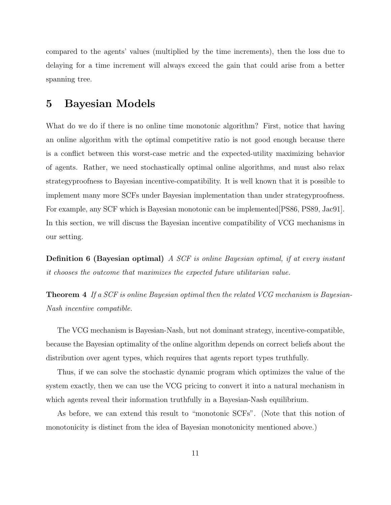compared to the agents' values (multiplied by the time increments), then the loss due to delaying for a time increment will always exceed the gain that could arise from a better spanning tree.

## 5 Bayesian Models

What do we do if there is no online time monotonic algorithm? First, notice that having an online algorithm with the optimal competitive ratio is not good enough because there is a conflict between this worst-case metric and the expected-utility maximizing behavior of agents. Rather, we need stochastically optimal online algorithms, and must also relax strategyproofness to Bayesian incentive-compatibility. It is well known that it is possible to implement many more SCFs under Bayesian implementation than under strategyproofness. For example, any SCF which is Bayesian monotonic can be implemented[PS86, PS89, Jac91]. In this section, we will discuss the Bayesian incentive compatibility of VCG mechanisms in our setting.

**Definition 6 (Bayesian optimal)** A SCF is online Bayesian optimal, if at every instant it chooses the outcome that maximizes the expected future utilitarian value.

**Theorem 4** If a SCF is online Bayesian optimal then the related VCG mechanism is Bayesian-Nash incentive compatible.

The VCG mechanism is Bayesian-Nash, but not dominant strategy, incentive-compatible, because the Bayesian optimality of the online algorithm depends on correct beliefs about the distribution over agent types, which requires that agents report types truthfully.

Thus, if we can solve the stochastic dynamic program which optimizes the value of the system exactly, then we can use the VCG pricing to convert it into a natural mechanism in which agents reveal their information truthfully in a Bayesian-Nash equilibrium.

As before, we can extend this result to "monotonic SCFs". (Note that this notion of monotonicity is distinct from the idea of Bayesian monotonicity mentioned above.)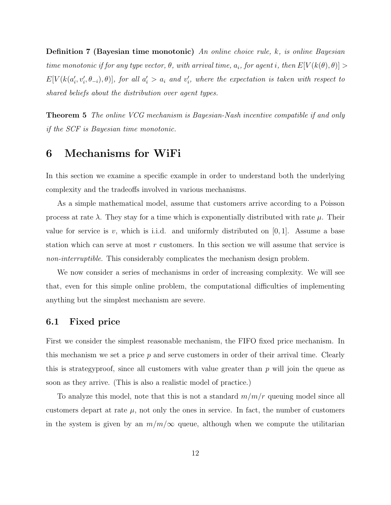Definition 7 (Bayesian time monotonic) An online choice rule, k, is online Bayesian time monotonic if for any type vector,  $\theta$ , with arrival time,  $a_i$ , for agent i, then  $E[V(k(\theta),\theta)] >$  $E[V(k(a'_i, v'_i, \theta_{-i}), \theta)],$  for all  $a'_i > a_i$  and  $v'_i$ , where the expectation is taken with respect to shared beliefs about the distribution over agent types.

Theorem 5 The online VCG mechanism is Bayesian-Nash incentive compatible if and only if the SCF is Bayesian time monotonic.

## 6 Mechanisms for WiFi

In this section we examine a specific example in order to understand both the underlying complexity and the tradeoffs involved in various mechanisms.

As a simple mathematical model, assume that customers arrive according to a Poisson process at rate  $\lambda$ . They stay for a time which is exponentially distributed with rate  $\mu$ . Their value for service is v, which is i.i.d. and uniformly distributed on  $[0, 1]$ . Assume a base station which can serve at most  $r$  customers. In this section we will assume that service is non-interruptible. This considerably complicates the mechanism design problem.

We now consider a series of mechanisms in order of increasing complexity. We will see that, even for this simple online problem, the computational difficulties of implementing anything but the simplest mechanism are severe.

#### 6.1 Fixed price

First we consider the simplest reasonable mechanism, the FIFO fixed price mechanism. In this mechanism we set a price  $p$  and serve customers in order of their arrival time. Clearly this is strategyproof, since all customers with value greater than  $p$  will join the queue as soon as they arrive. (This is also a realistic model of practice.)

To analyze this model, note that this is not a standard  $m/m/r$  queuing model since all customers depart at rate  $\mu$ , not only the ones in service. In fact, the number of customers in the system is given by an  $m/m/\infty$  queue, although when we compute the utilitarian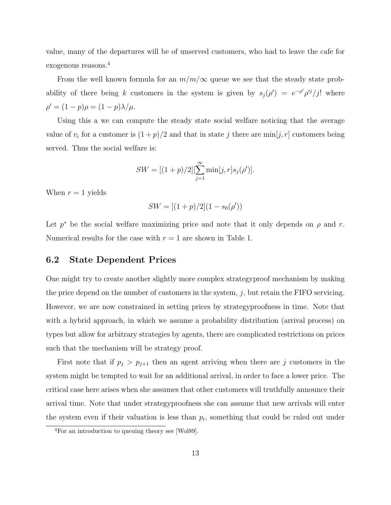value, many of the departures will be of unserved customers, who had to leave the cafe for exogenous reasons.<sup>4</sup>

From the well known formula for an  $m/m/\infty$  queue we see that the steady state probability of there being k customers in the system is given by  $s_j(\rho') = e^{-\rho'} \rho'^j / j!$  where  $\rho' = (1-p)\rho = (1-p)\lambda/\mu.$ 

Using this a we can compute the steady state social welfare noticing that the average value of  $v_i$  for a customer is  $(1+p)/2$  and that in state j there are  $\min[j,r]$  customers being served. Thus the social welfare is:

$$
SW = [(1+p)/2][\sum_{j=1}^{\infty} \min[j, r]s_j(\rho')].
$$

When  $r = 1$  yields

$$
SW = [(1+p)/2](1-s_0(\rho'))
$$

Let  $p^*$  be the social welfare maximizing price and note that it only depends on  $\rho$  and r. Numerical results for the case with  $r = 1$  are shown in Table 1.

#### 6.2 State Dependent Prices

One might try to create another slightly more complex strategyproof mechanism by making the price depend on the number of customers in the system, j, but retain the FIFO servicing. However, we are now constrained in setting prices by strategyproofness in time. Note that with a hybrid approach, in which we assume a probability distribution (arrival process) on types but allow for arbitrary strategies by agents, there are complicated restrictions on prices such that the mechanism will be strategy proof.

First note that if  $p_j > p_{j+1}$  then an agent arriving when there are j customers in the system might be tempted to wait for an additional arrival, in order to face a lower price. The critical case here arises when she assumes that other customers will truthfully announce their arrival time. Note that under strategyproofness she can assume that new arrivals will enter the system even if their valuation is less than  $p_i$ , something that could be ruled out under

 ${}^{4}$ For an introduction to queuing theory see [Wol89].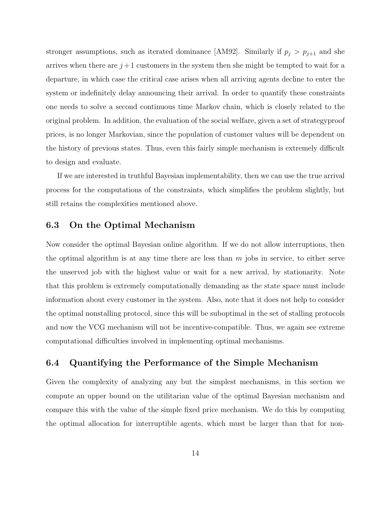stronger assumptions, such as iterated dominance [AM92]. Similarly if  $p_j > p_{j+1}$  and she arrives when there are  $j+1$  customers in the system then she might be tempted to wait for a departure, in which case the critical case arises when all arriving agents decline to enter the system or indefinitely delay announcing their arrival. In order to quantify these constraints one needs to solve a second continuous time Markov chain, which is closely related to the original problem. In addition, the evaluation of the social welfare, given a set of strategyproof prices, is no longer Markovian, since the population of customer values will be dependent on the history of previous states. Thus, even this fairly simple mechanism is extremely difficult to design and evaluate.

If we are interested in truthful Bayesian implementability, then we can use the true arrival process for the computations of the constraints, which simplifies the problem slightly, but still retains the complexities mentioned above.

### 6.3 On the Optimal Mechanism

Now consider the optimal Bayesian online algorithm. If we do not allow interruptions, then the optimal algorithm is at any time there are less than  $m$  jobs in service, to either serve the unserved job with the highest value or wait for a new arrival, by stationarity. Note that this problem is extremely computationally demanding as the state space must include information about every customer in the system. Also, note that it does not help to consider the optimal nonstalling protocol, since this will be suboptimal in the set of stalling protocols and now the VCG mechanism will not be incentive-compatible. Thus, we again see extreme computational difficulties involved in implementing optimal mechanisms.

### 6.4 Quantifying the Performance of the Simple Mechanism

Given the complexity of analyzing any but the simplest mechanisms, in this section we compute an upper bound on the utilitarian value of the optimal Bayesian mechanism and compare this with the value of the simple fixed price mechanism. We do this by computing the optimal allocation for interruptible agents, which must be larger than that for non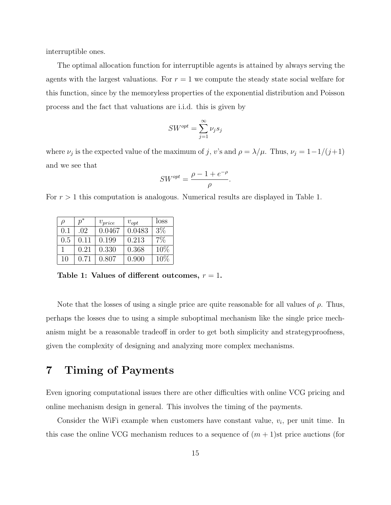interruptible ones.

The optimal allocation function for interruptible agents is attained by always serving the agents with the largest valuations. For  $r = 1$  we compute the steady state social welfare for this function, since by the memoryless properties of the exponential distribution and Poisson process and the fact that valuations are i.i.d. this is given by

$$
SW^{opt} = \sum_{j=1}^{\infty} \nu_j s_j
$$

where  $\nu_j$  is the expected value of the maximum of j, v's and  $\rho = \lambda/\mu$ . Thus,  $\nu_j = 1 - 1/(j+1)$ and we see that

$$
SW^{opt} = \frac{\rho - 1 + e^{-\rho}}{\rho}.
$$

For  $r > 1$  this computation is analogous. Numerical results are displayed in Table 1.

| Ω   | $p^*$ | $v_{price}$ | $v_{opt}$ | loss  |
|-----|-------|-------------|-----------|-------|
| 0.1 | .02   | 0.0467      | 0.0483    | $3\%$ |
| 0.5 | 0.11  | 0.199       | 0.213     | 7%    |
|     | 0.21  | 0.330       | 0.368     | 10%   |
| 10  | 0.71  | 0.807       | 0.900     | 10%   |

Table 1: Values of different outcomes,  $r = 1$ .

Note that the losses of using a single price are quite reasonable for all values of  $\rho$ . Thus, perhaps the losses due to using a simple suboptimal mechanism like the single price mechanism might be a reasonable tradeoff in order to get both simplicity and strategyproofness, given the complexity of designing and analyzing more complex mechanisms.

## 7 Timing of Payments

Even ignoring computational issues there are other difficulties with online VCG pricing and online mechanism design in general. This involves the timing of the payments.

Consider the WiFi example when customers have constant value,  $v_i$ , per unit time. In this case the online VCG mechanism reduces to a sequence of  $(m + 1)$ st price auctions (for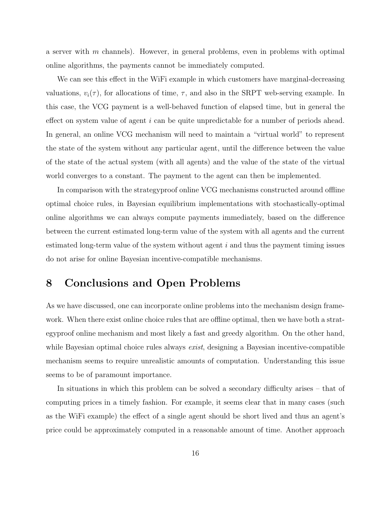a server with m channels). However, in general problems, even in problems with optimal online algorithms, the payments cannot be immediately computed.

We can see this effect in the WiFi example in which customers have marginal-decreasing valuations,  $v_i(\tau)$ , for allocations of time,  $\tau$ , and also in the SRPT web-serving example. In this case, the VCG payment is a well-behaved function of elapsed time, but in general the effect on system value of agent i can be quite unpredictable for a number of periods ahead. In general, an online VCG mechanism will need to maintain a "virtual world" to represent the state of the system without any particular agent, until the difference between the value of the state of the actual system (with all agents) and the value of the state of the virtual world converges to a constant. The payment to the agent can then be implemented.

In comparison with the strategyproof online VCG mechanisms constructed around offline optimal choice rules, in Bayesian equilibrium implementations with stochastically-optimal online algorithms we can always compute payments immediately, based on the difference between the current estimated long-term value of the system with all agents and the current estimated long-term value of the system without agent  $i$  and thus the payment timing issues do not arise for online Bayesian incentive-compatible mechanisms.

## 8 Conclusions and Open Problems

As we have discussed, one can incorporate online problems into the mechanism design framework. When there exist online choice rules that are offline optimal, then we have both a strategyproof online mechanism and most likely a fast and greedy algorithm. On the other hand, while Bayesian optimal choice rules always *exist*, designing a Bayesian incentive-compatible mechanism seems to require unrealistic amounts of computation. Understanding this issue seems to be of paramount importance.

In situations in which this problem can be solved a secondary difficulty arises – that of computing prices in a timely fashion. For example, it seems clear that in many cases (such as the WiFi example) the effect of a single agent should be short lived and thus an agent's price could be approximately computed in a reasonable amount of time. Another approach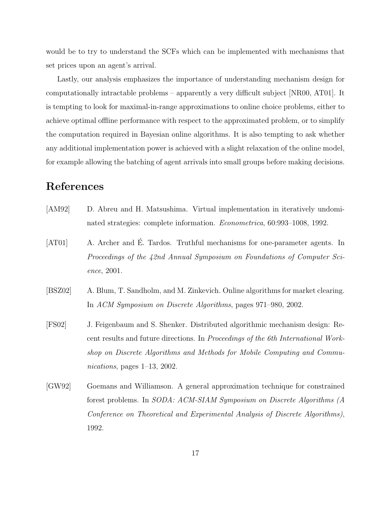would be to try to understand the SCFs which can be implemented with mechanisms that set prices upon an agent's arrival.

Lastly, our analysis emphasizes the importance of understanding mechanism design for computationally intractable problems – apparently a very difficult subject [NR00, AT01]. It is tempting to look for maximal-in-range approximations to online choice problems, either to achieve optimal offline performance with respect to the approximated problem, or to simplify the computation required in Bayesian online algorithms. It is also tempting to ask whether any additional implementation power is achieved with a slight relaxation of the online model, for example allowing the batching of agent arrivals into small groups before making decisions.

## References

- [AM92] D. Abreu and H. Matsushima. Virtual implementation in iteratively undominated strategies: complete information. Econometrica, 60:993–1008, 1992.
- [AT01] A. Archer and É. Tardos. Truthful mechanisms for one-parameter agents. In Proceedings of the 42nd Annual Symposium on Foundations of Computer Science, 2001.
- [BSZ02] A. Blum, T. Sandholm, and M. Zinkevich. Online algorithms for market clearing. In ACM Symposium on Discrete Algorithms, pages 971–980, 2002.
- [FS02] J. Feigenbaum and S. Shenker. Distributed algorithmic mechanism design: Recent results and future directions. In Proceedings of the 6th International Workshop on Discrete Algorithms and Methods for Mobile Computing and Communications, pages 1–13, 2002.
- [GW92] Goemans and Williamson. A general approximation technique for constrained forest problems. In SODA: ACM-SIAM Symposium on Discrete Algorithms (A Conference on Theoretical and Experimental Analysis of Discrete Algorithms), 1992.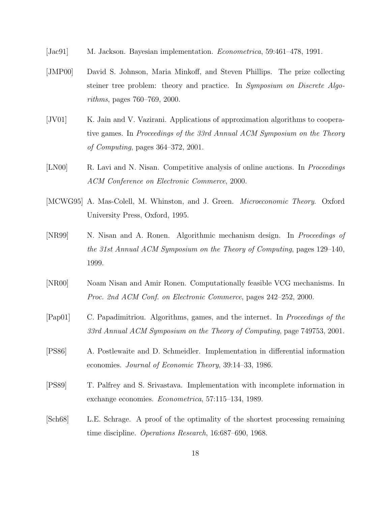- [Jac91] M. Jackson. Bayesian implementation. Econometrica, 59:461–478, 1991.
- [JMP00] David S. Johnson, Maria Minkoff, and Steven Phillips. The prize collecting steiner tree problem: theory and practice. In Symposium on Discrete Algorithms, pages 760–769, 2000.
- [JV01] K. Jain and V. Vazirani. Applications of approximation algorithms to cooperative games. In Proceedings of the 33rd Annual ACM Symposium on the Theory of Computing, pages 364–372, 2001.
- [LN00] R. Lavi and N. Nisan. Competitive analysis of online auctions. In *Proceedings* ACM Conference on Electronic Commerce, 2000.
- [MCWG95] A. Mas-Colell, M. Whinston, and J. Green. *Microeconomic Theory*. Oxford University Press, Oxford, 1995.
- [NR99] N. Nisan and A. Ronen. Algorithmic mechanism design. In Proceedings of the 31st Annual ACM Symposium on the Theory of Computing, pages 129–140, 1999.
- [NR00] Noam Nisan and Amir Ronen. Computationally feasible VCG mechanisms. In Proc. 2nd ACM Conf. on Electronic Commerce, pages 242–252, 2000.
- [Pap01] C. Papadimitriou. Algorithms, games, and the internet. In Proceedings of the 33rd Annual ACM Symposium on the Theory of Computing, page 749753, 2001.
- [PS86] A. Postlewaite and D. Schmeidler. Implementation in differential information economies. Journal of Economic Theory, 39:14–33, 1986.
- [PS89] T. Palfrey and S. Srivastava. Implementation with incomplete information in exchange economies. Econometrica, 57:115–134, 1989.
- [Sch68] L.E. Schrage. A proof of the optimality of the shortest processing remaining time discipline. Operations Research, 16:687–690, 1968.